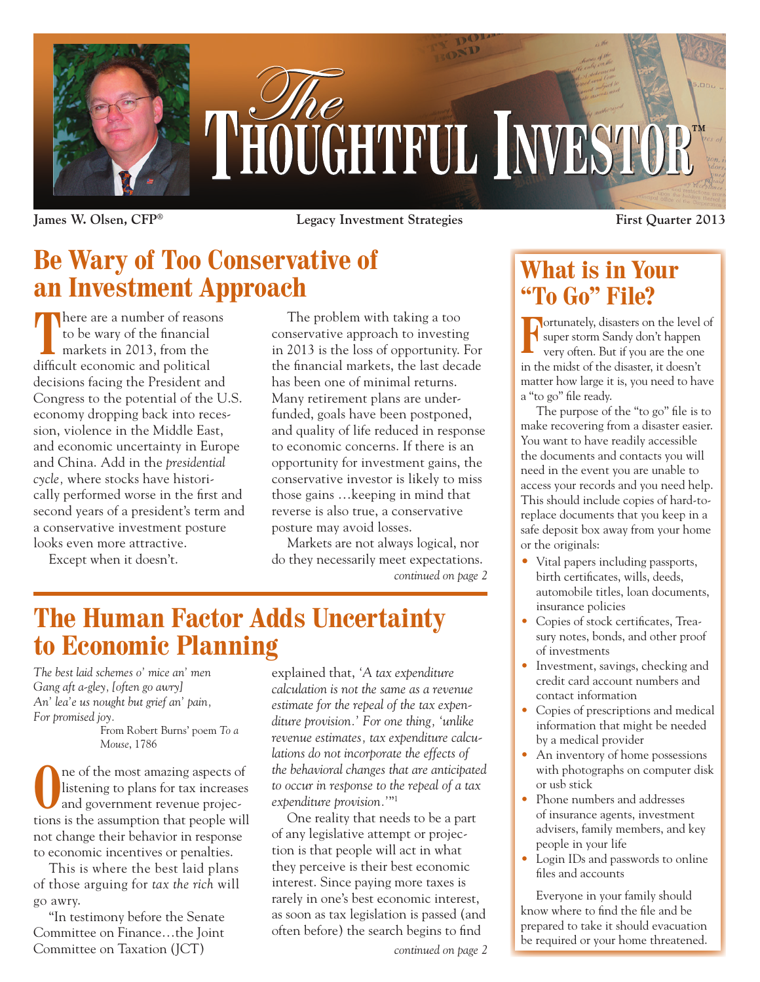

**James W. Olsen, CFP® Legacy Investment Strategies First Quarter 2013**

### **Be Wary of Too Conservative of an Investment Approach**

**There are a number of reasons** to be wary of the financial markets in 2013, from the difficult economic and political decisions facing the President and Congress to the potential of the U.S. economy dropping back into recession, violence in the Middle East, and economic uncertainty in Europe and China. Add in the *presidential cycle,* where stocks have historically performed worse in the first and second years of a president's term and a conservative investment posture looks even more attractive.

Except when it doesn't.

The problem with taking a too conservative approach to investing in 2013 is the loss of opportunity. For the financial markets, the last decade has been one of minimal returns. Many retirement plans are underfunded, goals have been postponed, and quality of life reduced in response to economic concerns. If there is an opportunity for investment gains, the conservative investor is likely to miss those gains …keeping in mind that reverse is also true, a conservative posture may avoid losses.

Markets are not always logical, nor do they necessarily meet expectations. *continued on page 2*

### **The Human Factor Adds Uncertainty to Economic Planning**

*The best laid schemes o' mice an' men Gang aft a-gley, [often go awry] An' lea'e us nought but grief an' pain, For promised joy.*

From Robert Burns' poem *To a Mouse*, 1786

The of the most amazing aspects of listening to plans for tax increases and government revenue projection listening to plans for tax increases and government revenue projections is the assumption that people will not change their behavior in response to economic incentives or penalties.

This is where the best laid plans of those arguing for *tax the rich* will go awry.

"In testimony before the Senate Committee on Finance…the Joint Committee on Taxation (JCT)

explained that, *'A tax expenditure calculation is not the same as a revenue estimate for the repeal of the tax expenditure provision.' For one thing, 'unlike revenue estimates, tax expenditure calculations do not incorporate the effects of the behavioral changes that are anticipated to occur in response to the repeal of a tax expenditure provision.'*"1

One reality that needs to be a part of any legislative attempt or projection is that people will act in what they perceive is their best economic interest. Since paying more taxes is rarely in one's best economic interest, as soon as tax legislation is passed (and often before) the search begins to find

#### *continued on page 2*

### **What is in Your "To Go" File?**

**Fortunately, disasters on the level of** super storm Sandy don't happen very often. But if you are the one super storm Sandy don't happen very often. But if you are the one in the midst of the disaster, it doesn't matter how large it is, you need to have a "to go" file ready.

The purpose of the "to go" file is to make recovering from a disaster easier. You want to have readily accessible the documents and contacts you will need in the event you are unable to access your records and you need help. This should include copies of hard-toreplace documents that you keep in a safe deposit box away from your home or the originals:

- Vital papers including passports, birth certificates, wills, deeds, automobile titles, loan documents, insurance policies
- Copies of stock certificates, Treasury notes, bonds, and other proof of investments
- Investment, savings, checking and credit card account numbers and contact information
- Copies of prescriptions and medical information that might be needed by a medical provider
- An inventory of home possessions with photographs on computer disk or usb stick
- Phone numbers and addresses of insurance agents, investment advisers, family members, and key people in your life
- Login IDs and passwords to online files and accounts

Everyone in your family should know where to find the file and be prepared to take it should evacuation be required or your home threatened.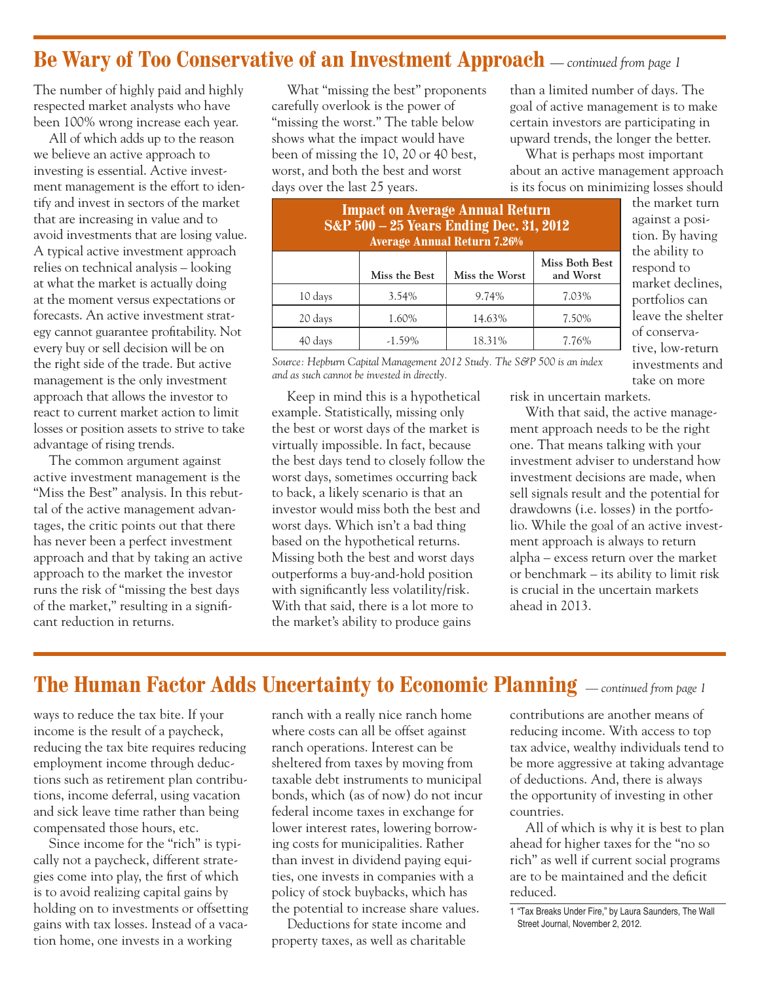### **Be Wary of Too Conservative of an Investment Approach** *— continued from page 1*

The number of highly paid and highly respected market analysts who have been 100% wrong increase each year.

All of which adds up to the reason we believe an active approach to investing is essential. Active investment management is the effort to identify and invest in sectors of the market that are increasing in value and to avoid investments that are losing value. A typical active investment approach relies on technical analysis – looking at what the market is actually doing at the moment versus expectations or forecasts. An active investment strategy cannot guarantee profitability. Not every buy or sell decision will be on the right side of the trade. But active management is the only investment approach that allows the investor to react to current market action to limit losses or position assets to strive to take advantage of rising trends.

The common argument against active investment management is the "Miss the Best" analysis. In this rebuttal of the active management advantages, the critic points out that there has never been a perfect investment approach and that by taking an active approach to the market the investor runs the risk of "missing the best days of the market," resulting in a significant reduction in returns.

What "missing the best" proponents carefully overlook is the power of "missing the worst." The table below shows what the impact would have been of missing the 10, 20 or 40 best, worst, and both the best and worst days over the last 25 years.

than a limited number of days. The goal of active management is to make certain investors are participating in upward trends, the longer the better.

What is perhaps most important about an active management approach is its focus on minimizing losses should

| <b>Impact on Average Annual Return</b><br><b>S&amp;P</b> 500 - 25 Years Ending Dec. 31, 2012<br><b>Average Annual Return 7.26%</b> |               |                |                             |  |  |
|------------------------------------------------------------------------------------------------------------------------------------|---------------|----------------|-----------------------------|--|--|
|                                                                                                                                    | Miss the Best | Miss the Worst | Miss Both Best<br>and Worst |  |  |
| 10 days                                                                                                                            | 3.54%         | 9.74%          | 7.03%                       |  |  |
| 20 days                                                                                                                            | 1.60%         | 14.63%         | 7.50%                       |  |  |
| 40 days                                                                                                                            | $-1.59\%$     | 18.31%         | 7.76%                       |  |  |

*Source: Hepburn Capital Management 2012 Study. The S&P 500 is an index and as such cannot be invested in directly.*

Keep in mind this is a hypothetical example. Statistically, missing only the best or worst days of the market is virtually impossible. In fact, because the best days tend to closely follow the worst days, sometimes occurring back to back, a likely scenario is that an investor would miss both the best and worst days. Which isn't a bad thing based on the hypothetical returns. Missing both the best and worst days outperforms a buy-and-hold position with significantly less volatility/risk. With that said, there is a lot more to the market's ability to produce gains

the market turn against a position. By having the ability to respond to market declines, portfolios can leave the shelter of conservative, low-return investments and take on more

risk in uncertain markets.

With that said, the active management approach needs to be the right one. That means talking with your investment adviser to understand how investment decisions are made, when sell signals result and the potential for drawdowns (i.e. losses) in the portfolio. While the goal of an active investment approach is always to return alpha – excess return over the market or benchmark – its ability to limit risk is crucial in the uncertain markets ahead in 2013.

#### **The Human Factor Adds Uncertainty to Economic Planning** *— continued from page 1*

ways to reduce the tax bite. If your income is the result of a paycheck, reducing the tax bite requires reducing employment income through deductions such as retirement plan contributions, income deferral, using vacation and sick leave time rather than being compensated those hours, etc.

Since income for the "rich" is typically not a paycheck, different strategies come into play, the first of which is to avoid realizing capital gains by holding on to investments or offsetting gains with tax losses. Instead of a vacation home, one invests in a working

ranch with a really nice ranch home where costs can all be offset against ranch operations. Interest can be sheltered from taxes by moving from taxable debt instruments to municipal bonds, which (as of now) do not incur federal income taxes in exchange for lower interest rates, lowering borrowing costs for municipalities. Rather than invest in dividend paying equities, one invests in companies with a policy of stock buybacks, which has the potential to increase share values.

Deductions for state income and property taxes, as well as charitable

contributions are another means of reducing income. With access to top tax advice, wealthy individuals tend to be more aggressive at taking advantage of deductions. And, there is always the opportunity of investing in other countries.

All of which is why it is best to plan ahead for higher taxes for the "no so rich" as well if current social programs are to be maintained and the deficit reduced.

<sup>1 &</sup>quot;Tax Breaks Under Fire," by Laura Saunders, The Wall Street Journal, November 2, 2012.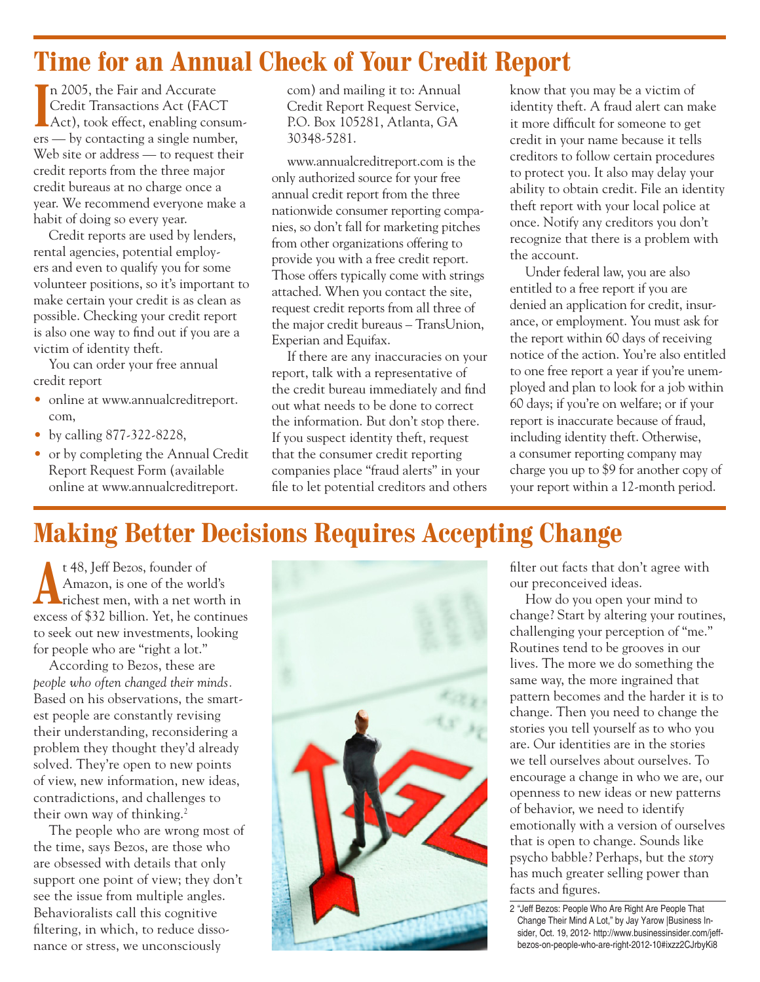## **Time for an Annual Check of Your Credit Report**

In 2005, the Fair and Accurate<br>
Credit Transactions Act (FACT<br>
Act), took effect, enabling consumn 2005, the Fair and Accurate Credit Transactions Act (FACT ers — by contacting a single number, Web site or address — to request their credit reports from the three major credit bureaus at no charge once a year. We recommend everyone make a habit of doing so every year.

Credit reports are used by lenders, rental agencies, potential employers and even to qualify you for some volunteer positions, so it's important to make certain your credit is as clean as possible. Checking your credit report is also one way to find out if you are a victim of identity theft.

You can order your free annual credit report

- online at www.annualcreditreport. com,
- by calling 877-322-8228,
- or by completing the Annual Credit Report Request Form (available online at www.annualcreditreport.

com) and mailing it to: Annual Credit Report Request Service, P.O. Box 105281, Atlanta, GA 30348-5281.

www.annualcreditreport.com is the only authorized source for your free annual credit report from the three nationwide consumer reporting companies, so don't fall for marketing pitches from other organizations offering to provide you with a free credit report. Those offers typically come with strings attached. When you contact the site, request credit reports from all three of the major credit bureaus – TransUnion, Experian and Equifax.

If there are any inaccuracies on your report, talk with a representative of the credit bureau immediately and find out what needs to be done to correct the information. But don't stop there. If you suspect identity theft, request that the consumer credit reporting companies place "fraud alerts" in your file to let potential creditors and others

know that you may be a victim of identity theft. A fraud alert can make it more difficult for someone to get credit in your name because it tells creditors to follow certain procedures to protect you. It also may delay your ability to obtain credit. File an identity theft report with your local police at once. Notify any creditors you don't recognize that there is a problem with the account.

Under federal law, you are also entitled to a free report if you are denied an application for credit, insurance, or employment. You must ask for the report within 60 days of receiving notice of the action. You're also entitled to one free report a year if you're unemployed and plan to look for a job within 60 days; if you're on welfare; or if your report is inaccurate because of fraud, including identity theft. Otherwise, a consumer reporting company may charge you up to \$9 for another copy of your report within a 12-month period.

# **Making Better Decisions Requires Accepting Change**

t 48, Jeff Bezos, founder of<br>Amazon, is one of the world<br>richest men, with a net wo Amazon, is one of the world's richest men, with a net worth in excess of \$32 billion. Yet, he continues to seek out new investments, looking for people who are "right a lot."

According to Bezos, these are *people who often changed their minds.* Based on his observations, the smartest people are constantly revising their understanding, reconsidering a problem they thought they'd already solved. They're open to new points of view, new information, new ideas, contradictions, and challenges to their own way of thinking.<sup>2</sup>

The people who are wrong most of the time, says Bezos, are those who are obsessed with details that only support one point of view; they don't see the issue from multiple angles. Behavioralists call this cognitive filtering, in which, to reduce dissonance or stress, we unconsciously



filter out facts that don't agree with our preconceived ideas.

How do you open your mind to change? Start by altering your routines, challenging your perception of "me." Routines tend to be grooves in our lives. The more we do something the same way, the more ingrained that pattern becomes and the harder it is to change. Then you need to change the stories you tell yourself as to who you are. Our identities are in the stories we tell ourselves about ourselves. To encourage a change in who we are, our openness to new ideas or new patterns of behavior, we need to identify emotionally with a version of ourselves that is open to change. Sounds like psycho babble? Perhaps, but the *story*  has much greater selling power than facts and figures.

<sup>2 &</sup>quot;Jeff Bezos: People Who Are Right Are People That Change Their Mind A Lot," by Jay Yarow |Business Insider, Oct. 19, 2012- http://www.businessinsider.com/jeffbezos-on-people-who-are-right-2012-10#ixzz2CJrbyKi8